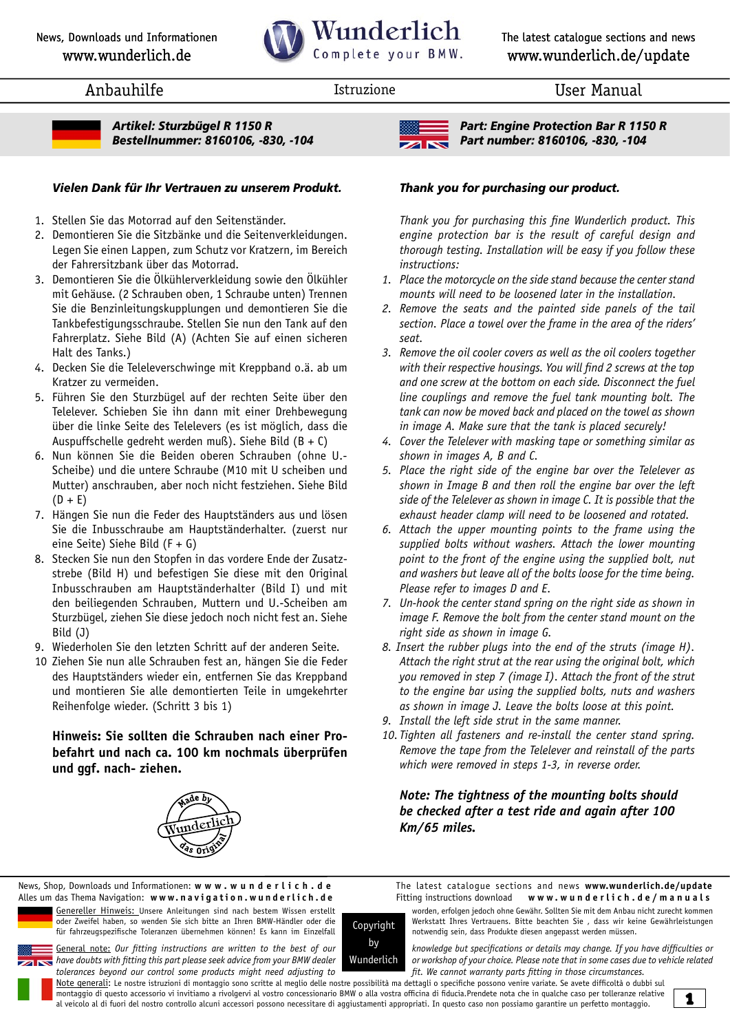

Anbauhilfe **Istruzione** Istruzione **Istruzione** User Manual



*Artikel: Sturzbügel R 1150 R Bestellnummer: 8160106, -830, -104*

#### *Vielen Dank für Ihr Vertrauen zu unserem Produkt. Thank you for purchasing our product.*

- 1. Stellen Sie das Motorrad auf den Seitenständer.
- 2. Demontieren Sie die Sitzbänke und die Seitenverkleidungen. Legen Sie einen Lappen, zum Schutz vor Kratzern, im Bereich der Fahrersitzbank über das Motorrad.
- 3. Demontieren Sie die Ölkühlerverkleidung sowie den Ölkühler mit Gehäuse. (2 Schrauben oben, 1 Schraube unten) Trennen Sie die Benzinleitungskupplungen und demontieren Sie die Tankbefestigungsschraube. Stellen Sie nun den Tank auf den Fahrerplatz. Siehe Bild (A) (Achten Sie auf einen sicheren Halt des Tanks.)
- 4. Decken Sie die Teleleverschwinge mit Kreppband o.ä. ab um Kratzer zu vermeiden.
- 5. Führen Sie den Sturzbügel auf der rechten Seite über den Telelever. Schieben Sie ihn dann mit einer Drehbewegung über die linke Seite des Telelevers (es ist möglich, dass die Auspuffschelle gedreht werden muß). Siehe Bild (B + C)
- 6. Nun können Sie die Beiden oberen Schrauben (ohne U.- Scheibe) und die untere Schraube (M10 mit U scheiben und Mutter) anschrauben, aber noch nicht festziehen. Siehe Bild  $(D + E)$
- 7. Hängen Sie nun die Feder des Hauptständers aus und lösen Sie die Inbusschraube am Hauptständerhalter. (zuerst nur eine Seite) Siehe Bild (F + G)
- 8. Stecken Sie nun den Stopfen in das vordere Ende der Zusatzstrebe (Bild H) und befestigen Sie diese mit den Original Inbusschrauben am Hauptständerhalter (Bild I) und mit den beiliegenden Schrauben, Muttern und U.-Scheiben am Sturzbügel, ziehen Sie diese jedoch noch nicht fest an. Siehe Bild (J)
- 9. Wiederholen Sie den letzten Schritt auf der anderen Seite.
- 10 Ziehen Sie nun alle Schrauben fest an, hängen Sie die Feder des Hauptständers wieder ein, entfernen Sie das Kreppband und montieren Sie alle demontierten Teile in umgekehrter Reihenfolge wieder. (Schritt 3 bis 1)

### **Hinweis: Sie sollten die Schrauben nach einer Probefahrt und nach ca. 100 km nochmals überprüfen und ggf. nach- ziehen.**





*Part: Engine Protection Bar R 1150 R Part number: 8160106, -830, -104*

 *Thank you for purchasing this fine Wunderlich product. This engine protection bar is the result of careful design and thorough testing. Installation will be easy if you follow these instructions:*

- *1. Place the motorcycle on the side stand because the center stand mounts will need to be loosened later in the installation.*
- *2. Remove the seats and the painted side panels of the tail section. Place a towel over the frame in the area of the riders' seat.*
- *3. Remove the oil cooler covers as well as the oil coolers together with their respective housings. You will find 2 screws at the top and one screw at the bottom on each side. Disconnect the fuel line couplings and remove the fuel tank mounting bolt. The tank can now be moved back and placed on the towel as shown in image A. Make sure that the tank is placed securely!*
- *4. Cover the Telelever with masking tape or something similar as shown in images A, B and C.*
- *5. Place the right side of the engine bar over the Telelever as shown in Image B and then roll the engine bar over the left side of the Telelever as shown in image C. It is possible that the exhaust header clamp will need to be loosened and rotated.*
- *6. Attach the upper mounting points to the frame using the supplied bolts without washers. Attach the lower mounting point to the front of the engine using the supplied bolt, nut and washers but leave all of the bolts loose for the time being. Please refer to images D and E.*
- *7. Un-hook the center stand spring on the right side as shown in image F. Remove the bolt from the center stand mount on the right side as shown in image G.*
- *8. Insert the rubber plugs into the end of the struts (image H). Attach the right strut at the rear using the original bolt, which you removed in step 7 (image I). Attach the front of the strut to the engine bar using the supplied bolts, nuts and washers as shown in image J. Leave the bolts loose at this point.*
- *9. Install the left side strut in the same manner.*
- *10. Tighten all fasteners and re-install the center stand spring. Remove the tape from the Telelever and reinstall of the parts which were removed in steps 1-3, in reverse order.*

 *Note: The tightness of the mounting bolts should be checked after a test ride and again after 100 Km/65 miles.*

The latest catalogue sections and news **[www.wunderlich.de/](www.wunderlich.de/update)update** Fitting instructions download **w w w . w u n d e r l i c h . d e / m a n u a l s**

Genereller Hinweis: Unsere Anleitungen sind nach bestem Wissen erstellt worden, erfolgen jedoch ohne Gewähr. Sollten Sie mit dem Anbau nicht zurecht kommen<br>oder Zweifel haben, so wenden Sie sich bitte an Ihren BMW-Händler für fahrzeugspezifische Toleranzen übernehmen können! Es kann im Einzelfall Alles um das Thema Navigation: **w w w. n a v i g a t i o n . w u n d e r l i c h . d e**

News, Shop, Downloads und Informationen: **[w w w . w u n d e r l i c h . d](http://www.wunderlich.de) e**

General note: Our fitting instructions are written to the best of our **the state of the video of the secifications** or details may change. If you have difficulties or **have doubts with fitting this part please** seek advice tolerances beyond our control some products might need adjusting to **finity of the cannot warranty parts fitting in those circumstances.** 

Werkstatt Ihres Vertrauens. Bitte beachten Sie , dass wir keine Gewährleistungen<br>notwendig sein, dass Produkte diesen angepasst werden müssen.

*have doubts with fitting this part please seek advice from your BMW dealer or workshop of your choice. Please note that in some cases due to vehicle related* 

Note generali: Le nostre istruzioni di montaggio sono scritte al meglio delle nostre possibilità ma dettagli o specifiche possono venire variate. Se avete difficoltà o dubbi sul montaggio di questo accessorio vi invitiamo a rivolgervi al vostro concessionario BMW o alla vostra officina di fiducia.Prendete nota che in qualche caso per tolleranze relative al veicolo al di fuori del nostro controllo alcuni accessori possono necessitare di aggiustamenti appropriati. In questo caso non possiamo garantire un perfetto montaggio.

Copyright by Wunderlich

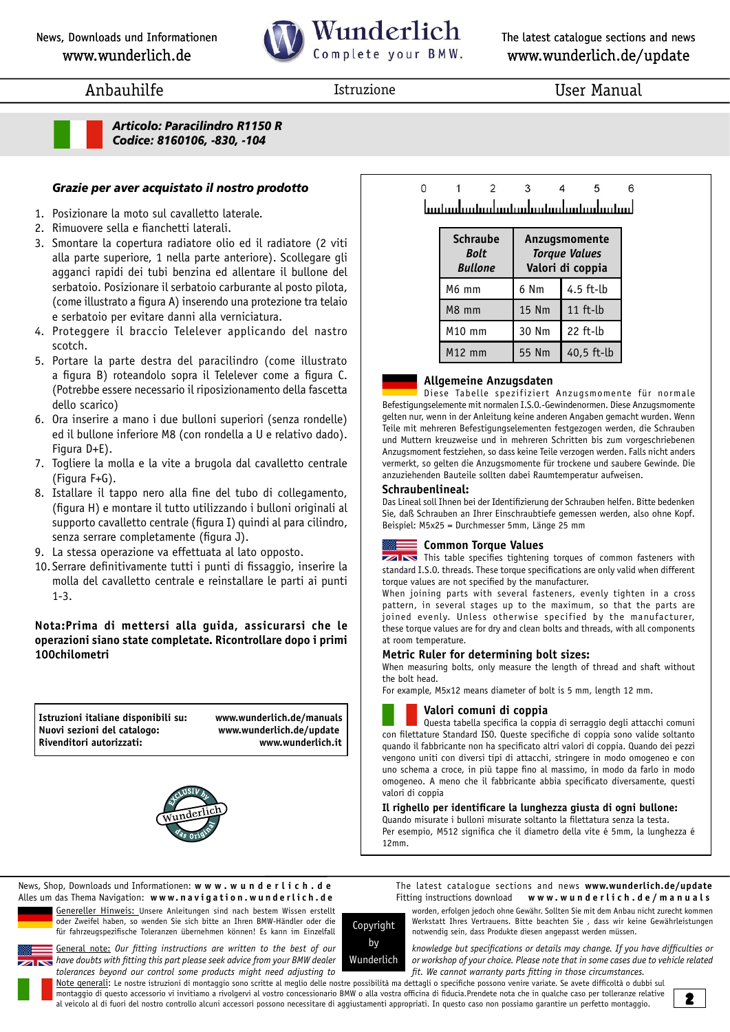# Wunderlich Complete your BMW.

The latest catalogue sections and news [www.wunderlich.de/](www.wunderlich.de/update)update

## Anbauhilfe **Istruzione** Istruzione **Istruzione** User Manual



*Articolo: Paracilindro R1150 R Codice: 8160106, -830, -104*

### *Grazie per aver acquistato il nostro prodotto*

- 1. Posizionare la moto sul cavalletto laterale.
- 2. Rimuovere sella e fianchetti laterali.
- 3. Smontare la copertura radiatore olio ed il radiatore (2 viti alla parte superiore, 1 nella parte anteriore). Scollegare gli agganci rapidi dei tubi benzina ed allentare il bullone del serbatoio. Posizionare il serbatoio carburante al posto pilota, (come illustrato a figura A) inserendo una protezione tra telaio e serbatoio per evitare danni alla verniciatura.
- 4. Proteggere il braccio Telelever applicando del nastro scotch.
- 5. Portare la parte destra del paracilindro (come illustrato a figura B) roteandolo sopra il Telelever come a figura C. (Potrebbe essere necessario il riposizionamento della fascetta dello scarico)
- 6. Ora inserire a mano i due bulloni superiori (senza rondelle) ed il bullone inferiore M8 (con rondella a U e relativo dado). Figura D+E).
- 7. Togliere la molla e la vite a brugola dal cavalletto centrale (Figura F+G).
- 8. Istallare il tappo nero alla fine del tubo di collegamento, (figura H) e montare il tutto utilizzando i bulloni originali al supporto cavalletto centrale (figura I) quindi al para cilindro, senza serrare completamente (figura J).
- 9. La stessa operazione va effettuata al lato opposto.
- 10. Serrare definitivamente tutti i punti di fissaggio, inserire la molla del cavalletto centrale e reinstallare le parti ai punti 1-3.

#### **Nota:Prima di mettersi alla guida, assicurarsi che le operazioni siano state completate. Ricontrollare dopo i primi 100chilometri**

**Istruzioni italiane disponibili su: www.wunderlich.de/manuals Nuovi sezioni del catalogo: [www.wunderlich.de/u](www.wunderlich.de/update)pdate Rivenditori autorizzati:** 



 $\Omega$  $\mathcal{L}$  $\mathbf{\hat{z}}$  $\overline{A}$ 5 Ŕ لسنسيلسنسيلسنسيلسينسيلسيناسيا

| <b>Schraube</b><br>Bolt<br><b>Bullone</b> | Anzugsmomente<br><b>Torque Values</b><br>Valori di coppia |            |
|-------------------------------------------|-----------------------------------------------------------|------------|
| M6 mm                                     | 6 Nm                                                      | 4.5 ft-lb  |
| M8 mm                                     | <b>15 Nm</b>                                              | $11$ ft-lb |
| M10 mm                                    | 30 Nm                                                     | $22$ ft-lb |
| $M12$ mm                                  | 55 Nm                                                     | 40,5 ft-lb |

#### **Allgemeine Anzugsdaten**

Diese Tabelle spezifiziert Anzugsmomente für normale Befestigungselemente mit normalen I.S.O.-Gewindenormen. Diese Anzugsmomente gelten nur, wenn in der Anleitung keine anderen Angaben gemacht wurden. Wenn Teile mit mehreren Befestigungselementen festgezogen werden, die Schrauben und Muttern kreuzweise und in mehreren Schritten bis zum vorgeschriebenen Anzugsmoment festziehen, so dass keine Teile verzogen werden. Falls nicht anders vermerkt, so gelten die Anzugsmomente für trockene und saubere Gewinde. Die anzuziehenden Bauteile sollten dabei Raumtemperatur aufweisen.

#### **Schraubenlineal:**

Das Lineal soll Ihnen bei der Identifizierung der Schrauben helfen. Bitte bedenken Sie, daß Schrauben an Ihrer Einschraubtiefe gemessen werden, also ohne Kopf. Beispiel: M5x25 = Durchmesser 5mm, Länge 25 mm

#### **Common Torque Values**

**THIS This table specifies tightening torques of common fasteners with** standard I.S.O. threads. These torque specifications are only valid when different torque values are not specified by the manufacturer.

When joining parts with several fasteners, evenly tighten in a cross pattern, in several stages up to the maximum, so that the parts are joined evenly. Unless otherwise specified by the manufacturer, these torque values are for dry and clean bolts and threads, with all components at room temperature.

#### **Metric Ruler for determining bolt sizes:**

When measuring bolts, only measure the length of thread and shaft without the bolt head.

For example, M5x12 means diameter of bolt is 5 mm, length 12 mm.

#### **Valori comuni di coppia**

Questa tabella specifica la coppia di serraggio degli attacchi comuni con filettature Standard ISO. Queste specifiche di coppia sono valide soltanto quando il fabbricante non ha specificato altri valori di coppia. Quando dei pezzi vengono uniti con diversi tipi di attacchi, stringere in modo omogeneo e con uno schema a croce, in più tappe fino al massimo, in modo da farlo in modo omogeneo. A meno che il fabbricante abbia specificato diversamente, questi valori di coppia

#### **Il righello per identificare la lunghezza giusta di ogni bullone:**

Quando misurate i bulloni misurate soltanto la filettatura senza la testa. Per esempio, M512 significa che il diametro della vite é 5mm, la lunghezza é 12mm.

The latest catalogue sections and news **[www.wunderlich.de/](www.wunderlich.de/update)update** Fitting instructions download **w w w . w u n d e r l i c h . d e / m a n u a l s**



für fahrzeugspezifische Toleranzen übernehmen können! Es kann im Einzelfall News, Shop, Downloads und Informationen: **[w w w . w u n d e r l i c h . d](http://www.wunderlich.de) e** Alles um das Thema Navigation: **w w w. n a v i g a t i o n . w u n d e r l i c h . d e**

General note: Our fitting instructions are written to the best of our **the set of our changes of our changes** but specifications or details may change. If you have difficulties or<br>In have doubts with fitting this part plea tolerances beyond our control some products might need adjusting to **finity of the cannot warranty parts fitting in those circumstances.** 

Genereller Hinweis: Unsere Anleitungen sind nach bestem Wissen erstellt worden, erfolgen jedoch ohne Gewähr. Sollten Sie mit dem Anbau nicht zurecht kommen<br>oder Zweifel haben, so wenden Sie sich bitte an Ihren BMW-Händler Werkstatt Ihres Vertrauens. Bitte beachten Sie , dass wir keine Gewährleistungen notwendig sein, dass Produkte diesen angepasst werden müssen.

by Wunderlich

*have doubts with fitting this part please seek advice from your BMW dealer or workshop of your choice. Please note that in some cases due to vehicle related* 

Note generali: Le nostre istruzioni di montaggio sono scritte al meglio delle nostre possibilità ma dettagli o specifiche possono venire variate. Se avete difficoltà o dubbi sul montaggio di questo accessorio vi invitiamo a rivolgervi al vostro concessionario BMW o alla vostra officina di fiducia.Prendete nota che in qualche caso per tolleranze relative al veicolo al di fuori del nostro controllo alcuni accessori possono necessitare di aggiustamenti appropriati. In questo caso non possiamo garantire un perfetto montaggio.

Copyright